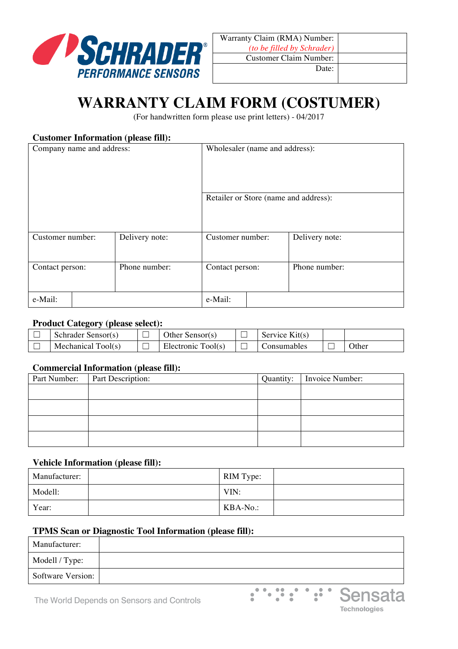

# **WARRANTY CLAIM FORM (COSTUMER)**

(For handwritten form please use print letters) - 04/2017

## **Customer Information (please fill):**

| Company name and address: |                |                  | Wholesaler (name and address):        |  |  |  |
|---------------------------|----------------|------------------|---------------------------------------|--|--|--|
|                           |                |                  | Retailer or Store (name and address): |  |  |  |
| Customer number:          | Delivery note: | Customer number: | Delivery note:                        |  |  |  |
| Contact person:           | Phone number:  | Contact person:  | Phone number:                         |  |  |  |
| e-Mail:                   |                | e-Mail:          |                                       |  |  |  |

#### **Product Category (please select):**

| Schrader Sensor(s) | Other Sensor(s)    | Service Kit(s) |              |
|--------------------|--------------------|----------------|--------------|
| Mechanical Tool(s) | Electronic Tool(s) | Consumables    | <b>Other</b> |

### **Commercial Information (please fill):**

| Part Number: | Part Description: | Quantity: | Invoice Number: |
|--------------|-------------------|-----------|-----------------|
|              |                   |           |                 |
|              |                   |           |                 |
|              |                   |           |                 |
|              |                   |           |                 |

#### **Vehicle Information (please fill):**

| Manufacturer: | RIM Type: |  |
|---------------|-----------|--|
| Modell:       | VIN:      |  |
| Year:         | KBA-No.:  |  |

## **TPMS Scan or Diagnostic Tool Information (please fill):**

| Manufacturer:            |  |
|--------------------------|--|
| Modell / Type:           |  |
| <b>Software Version:</b> |  |



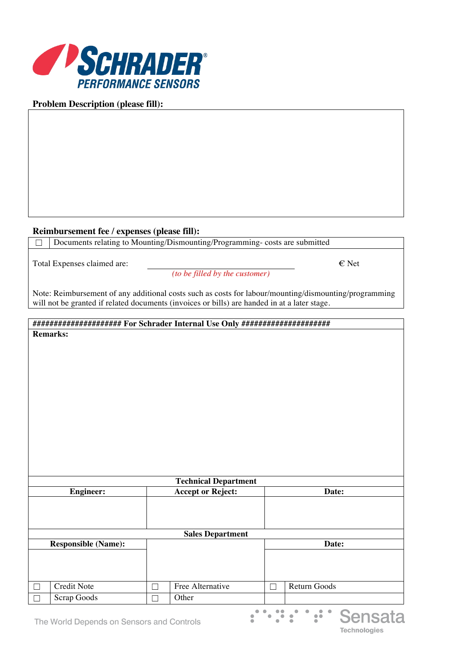

## **Problem Description (please fill):**

## **Reimbursement fee / expenses (please fill):**

☐ Documents relating to Mounting/Dismounting/Programming- costs are submitted

Total Expenses claimed are:  $\epsilon$  Net

*(to be filled by the customer)*

**Technologies** 

Note: Reimbursement of any additional costs such as costs for labour/mounting/dismounting/programming will not be granted if related documents (invoices or bills) are handed in at a later stage.

### **##################### For Schrader Internal Use Only ##################### Remarks:**

| <b>Technical Department</b>               |             |        |                                   |        |              |
|-------------------------------------------|-------------|--------|-----------------------------------|--------|--------------|
| <b>Engineer:</b>                          |             |        | <b>Accept or Reject:</b><br>Date: |        |              |
|                                           |             |        |                                   |        |              |
|                                           |             |        |                                   |        |              |
|                                           |             |        | <b>Sales Department</b>           |        |              |
| <b>Responsible (Name):</b>                |             |        |                                   | Date:  |              |
|                                           |             |        |                                   |        |              |
|                                           |             |        |                                   |        |              |
|                                           | Credit Note | Г      | Free Alternative                  | $\Box$ | Return Goods |
| $\Box$                                    | Scrap Goods | $\Box$ | Other                             |        |              |
| .:<br>Sensata                             |             |        |                                   |        |              |
| The World Denends on Sensors and Controls |             |        |                                   |        |              |